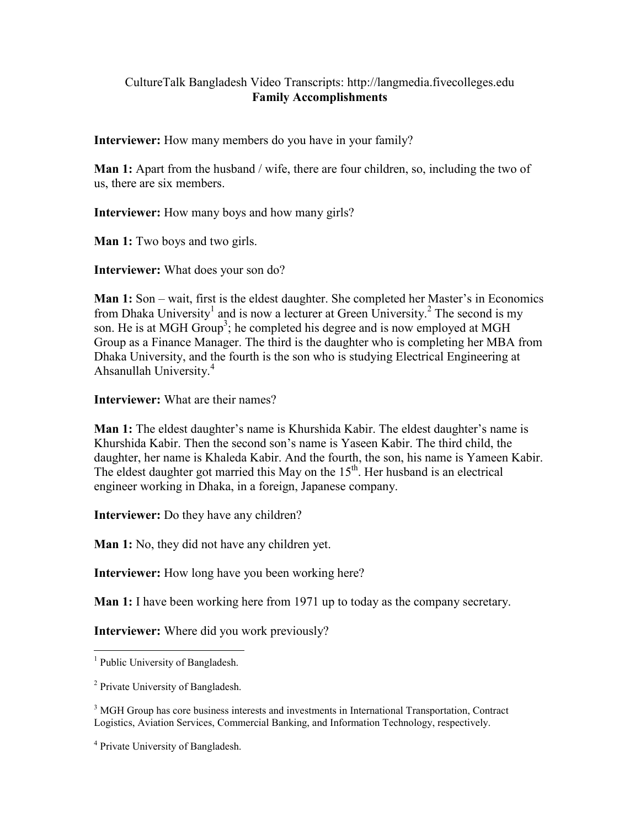## CultureTalk Bangladesh Video Transcripts: http://langmedia.fivecolleges.edu Family Accomplishments

Interviewer: How many members do you have in your family?

Man 1: Apart from the husband / wife, there are four children, so, including the two of us, there are six members.

Interviewer: How many boys and how many girls?

Man 1: Two boys and two girls.

Interviewer: What does your son do?

Man 1: Son – wait, first is the eldest daughter. She completed her Master's in Economics from Dhaka University<sup>1</sup> and is now a lecturer at Green University.<sup>2</sup> The second is my son. He is at MGH Group<sup>3</sup>; he completed his degree and is now employed at MGH Group as a Finance Manager. The third is the daughter who is completing her MBA from Dhaka University, and the fourth is the son who is studying Electrical Engineering at Ahsanullah University.<sup>4</sup>

Interviewer: What are their names?

Man 1: The eldest daughter's name is Khurshida Kabir. The eldest daughter's name is Khurshida Kabir. Then the second son's name is Yaseen Kabir. The third child, the daughter, her name is Khaleda Kabir. And the fourth, the son, his name is Yameen Kabir. The eldest daughter got married this May on the  $15<sup>th</sup>$ . Her husband is an electrical engineer working in Dhaka, in a foreign, Japanese company.

Interviewer: Do they have any children?

Man 1: No, they did not have any children yet.

Interviewer: How long have you been working here?

Man 1: I have been working here from 1971 up to today as the company secretary.

Interviewer: Where did you work previously?

<sup>&</sup>lt;sup>1</sup> Public University of Bangladesh.

<sup>&</sup>lt;sup>2</sup> Private University of Bangladesh.

<sup>&</sup>lt;sup>3</sup> MGH Group has core business interests and investments in International Transportation, Contract Logistics, Aviation Services, Commercial Banking, and Information Technology, respectively.

<sup>4</sup> Private University of Bangladesh.